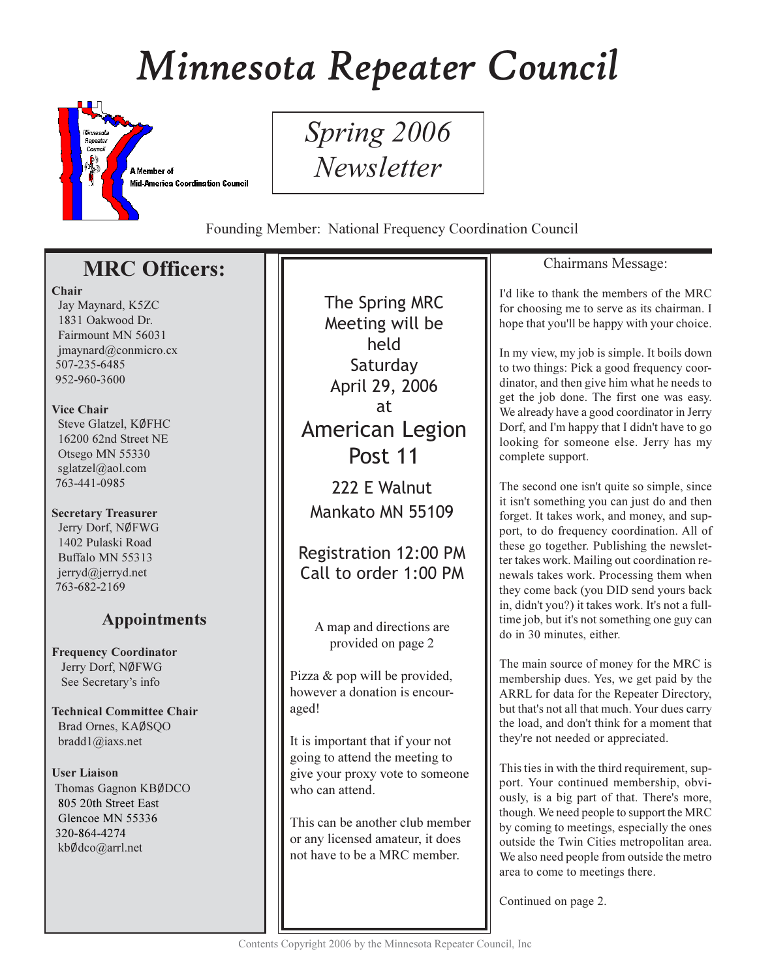# Minnesota Repeater Council



Spring 2006 Newsletter

Founding Member: National Frequency Coordination Council

# **MRC Officers:**

## Chair

Jay Maynard, K5ZC 1831 Oakwood Dr. Fairmount MN 56031  $imavnard@conmicro.cx$ 507-235-6485 952-960-3600

## Vice Chair

Steve Glatzel, KØFHC 16200 62nd Street NE Otsego MN 55330 sglatzel@aol.com 763-441-0985

## **Secretary Treasurer**

Jerry Dorf, NØFWG 1402 Pulaski Road Buffalo MN 55313 jerryd@jerryd.net 763-682-2169

# **Appointments**

**Frequency Coordinator** Jerry Dorf, NØFWG See Secretary's info

**Technical Committee Chair** Brad Ornes, KAØSQO bradd $1$ @iaxs.net

## **User Liaison**

Thomas Gagnon KBØDCO 805 20th Street East Glencoe MN 55336 320-864-4274 kbØdco@arrl.net

The Spring MRC Meeting will be held Saturday April 29, 2006 at **American Legion** Post 11 222 E Walnut

Mankato MN 55109

**Registration 12:00 PM** Call to order 1:00 PM

A map and directions are provided on page 2

Pizza & pop will be provided, however a donation is encouraged!

It is important that if your not going to attend the meeting to give your proxy vote to someone who can attend.

This can be another club member or any licensed amateur, it does not have to be a MRC member.

# Chairmans Message:

I'd like to thank the members of the MRC for choosing me to serve as its chairman. I hope that you'll be happy with your choice.

In my view, my job is simple. It boils down to two things: Pick a good frequency coordinator, and then give him what he needs to get the job done. The first one was easy. We already have a good coordinator in Jerry Dorf, and I'm happy that I didn't have to go looking for someone else. Jerry has my complete support.

The second one isn't quite so simple, since it isn't something you can just do and then forget. It takes work, and money, and support, to do frequency coordination. All of these go together. Publishing the newsletter takes work. Mailing out coordination renewals takes work. Processing them when they come back (you DID send yours back in, didn't you?) it takes work. It's not a fulltime job, but it's not something one guy can do in 30 minutes, either.

The main source of money for the MRC is membership dues. Yes, we get paid by the ARRL for data for the Repeater Directory, but that's not all that much. Your dues carry the load, and don't think for a moment that they're not needed or appreciated.

This ties in with the third requirement, support. Your continued membership, obviously, is a big part of that. There's more, though. We need people to support the MRC by coming to meetings, especially the ones outside the Twin Cities metropolitan area. We also need people from outside the metro area to come to meetings there.

Continued on page 2.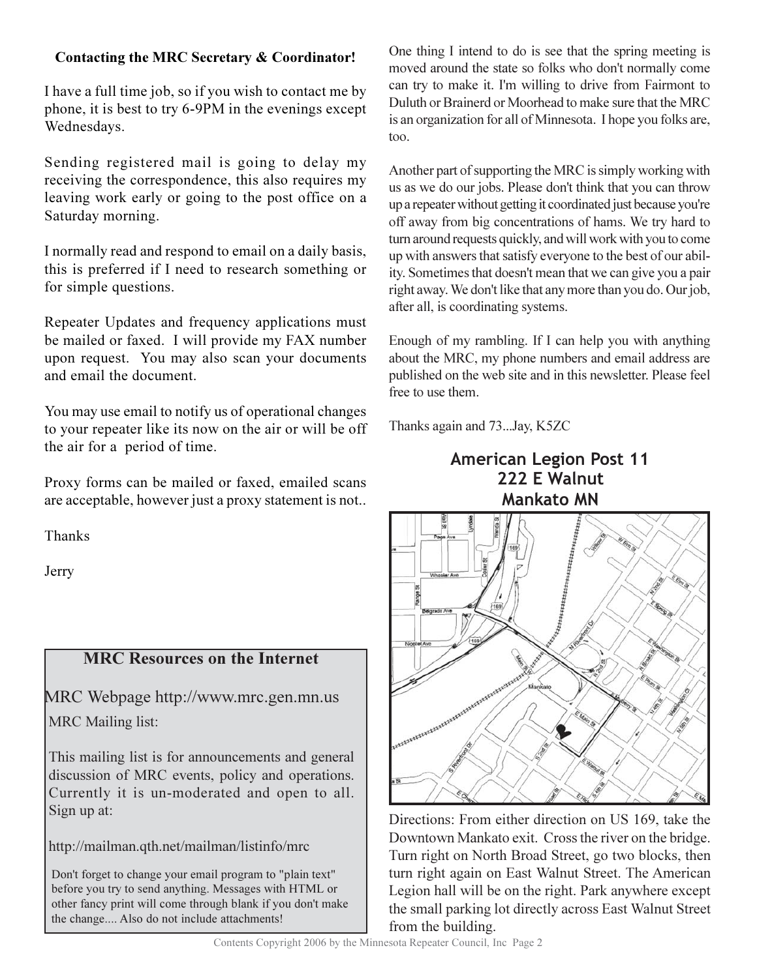# Contacting the MRC Secretary & Coordinator!

I have a full time job, so if you wish to contact me by phone, it is best to try 6-9PM in the evenings except Wednesdays.

Sending registered mail is going to delay my receiving the correspondence, this also requires my leaving work early or going to the post office on a Saturday morning.

I normally read and respond to email on a daily basis, this is preferred if I need to research something or for simple questions.

Repeater Updates and frequency applications must be mailed or faxed. I will provide my FAX number upon request. You may also scan your documents and email the document.

You may use email to notify us of operational changes to your repeater like its now on the air or will be off the air for a period of time.

Proxy forms can be mailed or faxed, emailed scans are acceptable, however just a proxy statement is not...

Thanks

Jerry

# **MRC Resources on the Internet**

MRC Webpage http://www.mrc.gen.mn.us **MRC** Mailing list:

This mailing list is for announcements and general discussion of MRC events, policy and operations. Currently it is un-moderated and open to all. Sign up at:

http://mailman.qth.net/mailman/listinfo/mrc

Don't forget to change your email program to "plain text" before you try to send anything. Messages with HTML or other fancy print will come through blank if you don't make the change.... Also do not include attachments!

One thing I intend to do is see that the spring meeting is moved around the state so folks who don't normally come can try to make it. I'm willing to drive from Fairmont to Duluth or Brainerd or Moorhead to make sure that the MRC is an organization for all of Minnesota. I hope you folks are, too.

Another part of supporting the MRC is simply working with us as we do our jobs. Please don't think that you can throw up a repeater without getting it coordinated just because you're off away from big concentrations of hams. We try hard to turn around requests quickly, and will work with you to come up with answers that satisfy everyone to the best of our ability. Sometimes that doesn't mean that we can give you a pair right away. We don't like that any more than you do. Our job, after all, is coordinating systems.

Enough of my rambling. If I can help you with anything about the MRC, my phone numbers and email address are published on the web site and in this newsletter. Please feel free to use them.

Thanks again and 73...Jay, K5ZC

# **American Legion Post 11** 222 E Walnut **Mankato MN**



Directions: From either direction on US 169, take the Downtown Mankato exit. Cross the river on the bridge. Turn right on North Broad Street, go two blocks, then turn right again on East Walnut Street. The American Legion hall will be on the right. Park anywhere except the small parking lot directly across East Walnut Street from the building.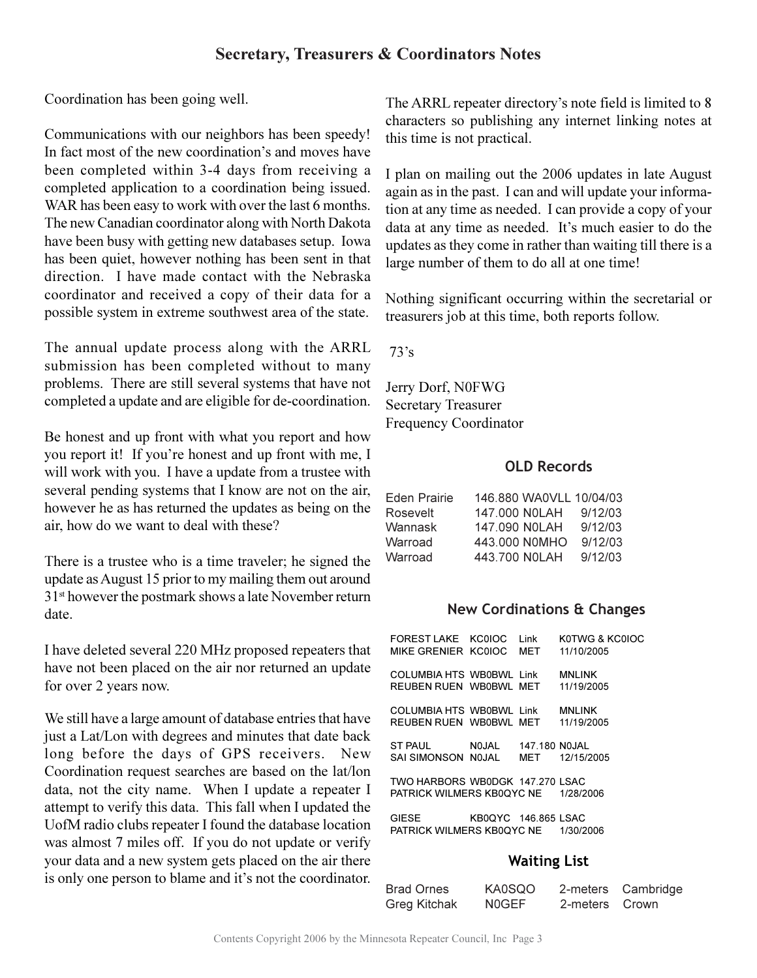# **Secretary, Treasurers & Coordinators Notes**

Coordination has been going well.

Communications with our neighbors has been speedy! In fact most of the new coordination's and moves have been completed within 3-4 days from receiving a completed application to a coordination being issued. WAR has been easy to work with over the last 6 months. The new Canadian coordinator along with North Dakota have been busy with getting new databases setup. Iowa has been quiet, however nothing has been sent in that direction. I have made contact with the Nebraska coordinator and received a copy of their data for a possible system in extreme southwest area of the state.

The annual update process along with the ARRL submission has been completed without to many problems. There are still several systems that have not completed a update and are eligible for de-coordination.

Be honest and up front with what you report and how you report it! If you're honest and up front with me, I will work with you. I have a update from a trustee with several pending systems that I know are not on the air, however he as has returned the updates as being on the air, how do we want to deal with these?

There is a trustee who is a time traveler; he signed the update as August 15 prior to my mailing them out around 31<sup>st</sup> however the postmark shows a late November return date.

I have deleted several 220 MHz proposed repeaters that have not been placed on the air nor returned an update for over 2 years now.

We still have a large amount of database entries that have just a Lat/Lon with degrees and minutes that date back long before the days of GPS receivers. New Coordination request searches are based on the lat/lon data, not the city name. When I update a repeater I attempt to verify this data. This fall when I updated the UofM radio clubs repeater I found the database location was almost 7 miles off. If you do not update or verify your data and a new system gets placed on the air there is only one person to blame and it's not the coordinator.

The ARRL repeater directory's note field is limited to 8 characters so publishing any internet linking notes at this time is not practical.

I plan on mailing out the 2006 updates in late August again as in the past. I can and will update your information at any time as needed. I can provide a copy of your data at any time as needed. It's much easier to do the updates as they come in rather than waiting till there is a large number of them to do all at one time!

Nothing significant occurring within the secretarial or treasurers job at this time, both reports follow.

 $73's$ 

Jerry Dorf, N0FWG **Secretary Treasurer Frequency Coordinator** 

## **OLD Records**

| Eden Prairie | 146,880 WA0VLL 10/04/03 |         |
|--------------|-------------------------|---------|
| Rosevelt     | 147.000 NOLAH           | 9/12/03 |
| Wannask      | 147,090 NOLAH           | 9/12/03 |
| Warroad      | 443,000 NOMHO           | 9/12/03 |
| Warroad      | 443.700 NOLAH           | 9/12/03 |

## **New Cordinations & Changes**

| FOREST LAKE KC0IOC<br>MIKE GRENIER KC0IOC MET                          |                     | l ink | KOTWG & KCOIOC<br>11/10/2005 |
|------------------------------------------------------------------------|---------------------|-------|------------------------------|
| COLUMBIA HTS WB0BWL Link<br>REUBEN RUEN WB0BWL MET                     |                     |       | <b>MNLINK</b><br>11/19/2005  |
| COLUMBIA HTS WB0BWL Link<br>REUBEN RUEN WB0BWL MET 11/19/2005          |                     |       | <b>MNI INK</b>               |
| ST PAUL NOJAL 147.180 NOJAL<br>SAI SIMONSON NOJAL MET 12/15/2005       |                     |       |                              |
| TWO HARBORS WB0DGK 147.270 LSAC<br>PATRICK WILMERS KB0QYC NE 1/28/2006 |                     |       |                              |
| <b>GIESE</b><br>PATRICK WILMERS KB0QYC NE 1/30/2006                    | KB0QYC 146,865 LSAC |       |                              |

## **Waiting List**

| <b>Brad Ornes</b> | KA0SQO |                | 2-meters Cambridge |
|-------------------|--------|----------------|--------------------|
| Greg Kitchak      | N0GEF  | 2-meters Crown |                    |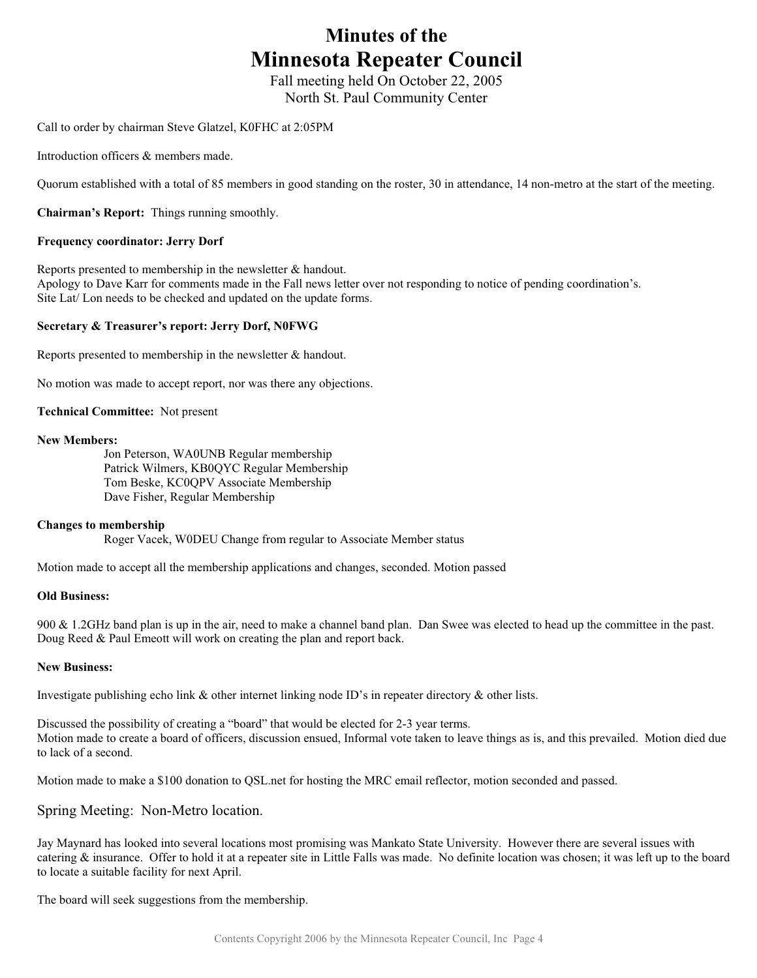# **Minutes of the Minnesota Repeater Council**

Fall meeting held On October 22, 2005 North St. Paul Community Center

Call to order by chairman Steve Glatzel, K0FHC at 2:05PM

Introduction officers & members made.

Quorum established with a total of 85 members in good standing on the roster, 30 in attendance, 14 non-metro at the start of the meeting.

**Chairman's Report:** Things running smoothly.

### **Frequency coordinator: Jerry Dorf**

Reports presented to membership in the newsletter & handout. Apology to Dave Karr for comments made in the Fall news letter over not responding to notice of pending coordination's. Site Lat/ Lon needs to be checked and updated on the update forms.

## **Secretary & Treasurer's report: Jerry Dorf, N0FWG**

Reports presented to membership in the newsletter & handout.

No motion was made to accept report, nor was there any objections.

**Technical Committee:** Not present

#### **New Members:**

 Jon Peterson, WA0UNB Regular membership Patrick Wilmers, KB0QYC Regular Membership Tom Beske, KC0QPV Associate Membership Dave Fisher, Regular Membership

#### **Changes to membership**

Roger Vacek, W0DEU Change from regular to Associate Member status

Motion made to accept all the membership applications and changes, seconded. Motion passed

### **Old Business:**

900 & 1.2GHz band plan is up in the air, need to make a channel band plan. Dan Swee was elected to head up the committee in the past. Doug Reed & Paul Emeott will work on creating the plan and report back.

#### **New Business:**

Investigate publishing echo link & other internet linking node ID's in repeater directory & other lists.

Discussed the possibility of creating a "board" that would be elected for 2-3 year terms. Motion made to create a board of officers, discussion ensued, Informal vote taken to leave things as is, and this prevailed. Motion died due to lack of a second.

Motion made to make a \$100 donation to QSL.net for hosting the MRC email reflector, motion seconded and passed.

## Spring Meeting: Non-Metro location.

Jay Maynard has looked into several locations most promising was Mankato State University. However there are several issues with catering & insurance. Offer to hold it at a repeater site in Little Falls was made. No definite location was chosen; it was left up to the board to locate a suitable facility for next April.

The board will seek suggestions from the membership.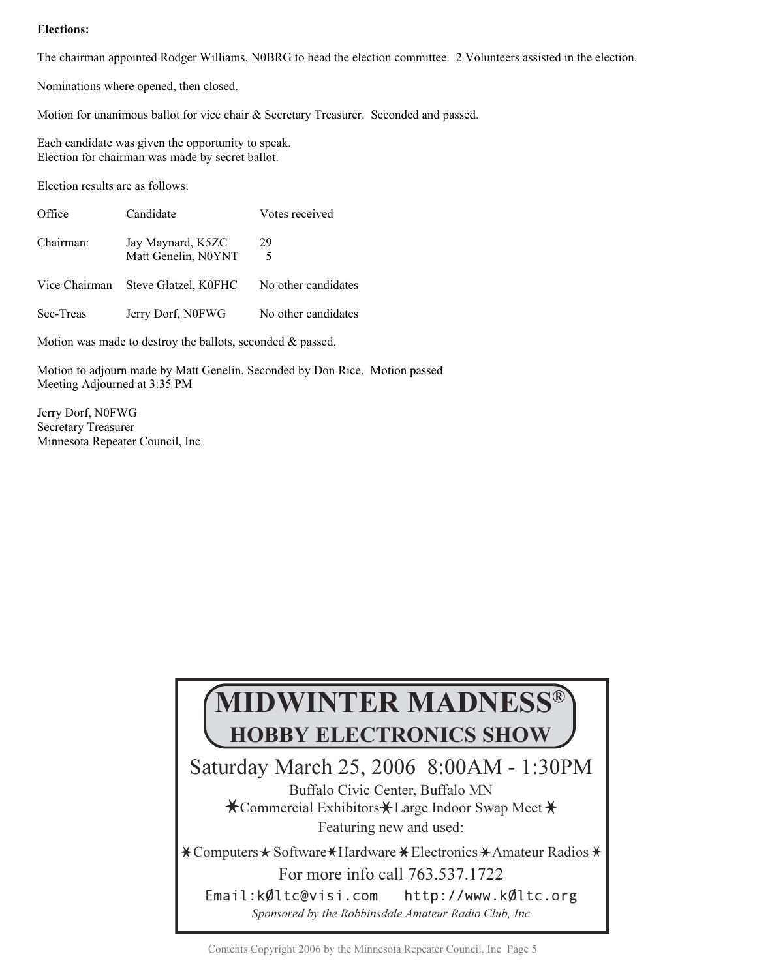## **Elections:**

The chairman appointed Rodger Williams, N0BRG to head the election committee. 2 Volunteers assisted in the election.

Nominations where opened, then closed.

Motion for unanimous ballot for vice chair & Secretary Treasurer. Seconded and passed.

Each candidate was given the opportunity to speak. Election for chairman was made by secret ballot.

Election results are as follows:

| Office        | Candidate                                | Votes received      |
|---------------|------------------------------------------|---------------------|
| Chairman:     | Jay Maynard, K5ZC<br>Matt Genelin, N0YNT | 29<br>5             |
| Vice Chairman | Steve Glatzel, K0FHC                     | No other candidates |
| Sec-Treas     | Jerry Dorf, N0FWG                        | No other candidates |

Motion was made to destroy the ballots, seconded & passed.

Motion to adjourn made by Matt Genelin, Seconded by Don Rice. Motion passed Meeting Adjourned at 3:35 PM

Jerry Dorf, N0FWG Secretary Treasurer Minnesota Repeater Council, Inc

# **MIDWINTER MADNESS® HOBBY ELECTRONICS SHOW**

Saturday March 25, 2006 8:00 AM - 1:30 PM

Buffalo Civic Center, Buffalo MN Commercial Exhibitors \* Large Indoor Swap Meet Featuring new and used:

Computers  $\star$  Software  $\star$  Hardware  $\star$  Electronics  $\star$  Amateur Radios For more info call 763.537.1722 Email:kØltc@visi.com http://www.k0ltc.org Sponsored by the Robbinsdale Amateur Radio Club. Inc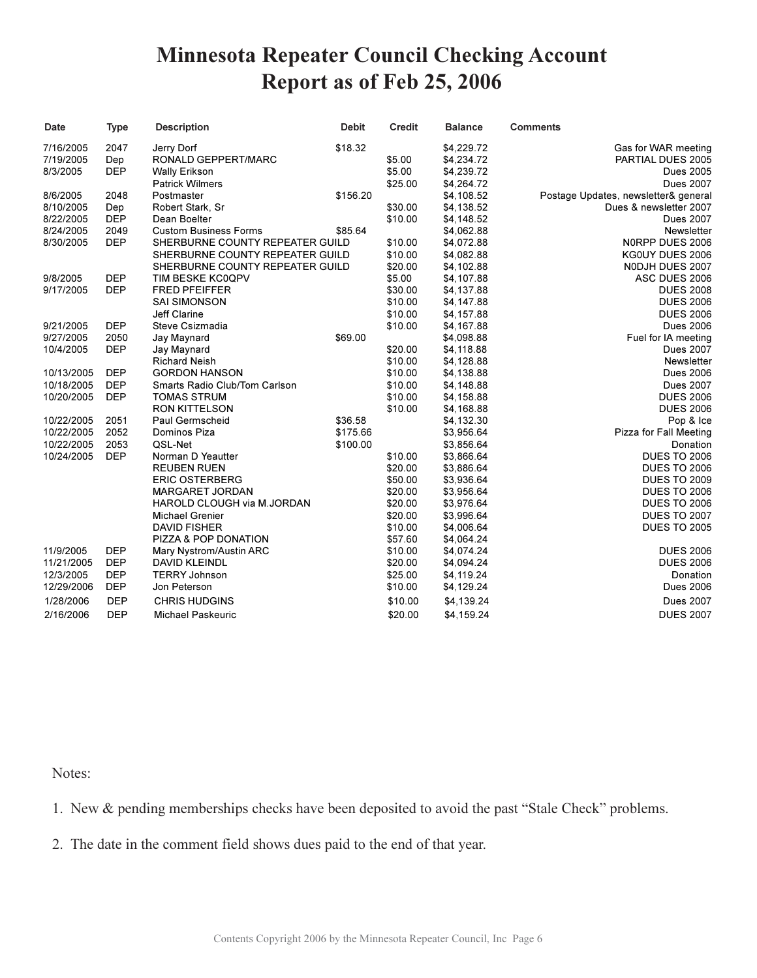# **Minnesota Repeater Council Checking Account** Report as of Feb 25, 2006

| <b>Date</b> | <b>Type</b> | <b>Description</b>              | <b>Debit</b> | <b>Credit</b> | <b>Balance</b> | <b>Comments</b>                      |
|-------------|-------------|---------------------------------|--------------|---------------|----------------|--------------------------------------|
| 7/16/2005   | 2047        | Jerry Dorf                      | \$18.32      |               | \$4,229.72     | Gas for WAR meeting                  |
| 7/19/2005   | Dep         | RONALD GEPPERT/MARC             |              | \$5.00        | \$4,234.72     | PARTIAL DUES 2005                    |
| 8/3/2005    | <b>DEP</b>  | <b>Wally Erikson</b>            |              | \$5.00        | \$4,239.72     | <b>Dues 2005</b>                     |
|             |             | <b>Patrick Wilmers</b>          |              | \$25.00       | \$4,264.72     | <b>Dues 2007</b>                     |
| 8/6/2005    | 2048        | Postmaster                      | \$156.20     |               | \$4,108.52     | Postage Updates, newsletter& general |
| 8/10/2005   | Dep         | Robert Stark, Sr                |              | \$30.00       | \$4,138.52     | Dues & newsletter 2007               |
| 8/22/2005   | <b>DEP</b>  | Dean Boelter                    |              | \$10.00       | \$4,148.52     | <b>Dues 2007</b>                     |
| 8/24/2005   | 2049        | <b>Custom Business Forms</b>    | \$85.64      |               | \$4,062.88     | Newsletter                           |
| 8/30/2005   | <b>DEP</b>  | SHERBURNE COUNTY REPEATER GUILD |              | \$10.00       | \$4,072.88     | N0RPP DUES 2006                      |
|             |             | SHERBURNE COUNTY REPEATER GUILD |              | \$10.00       | \$4,082.88     | KG0UY DUES 2006                      |
|             |             | SHERBURNE COUNTY REPEATER GUILD |              | \$20.00       | \$4,102.88     | NODJH DUES 2007                      |
| 9/8/2005    | <b>DEP</b>  | TIM BESKE KC0QPV                |              | \$5.00        | \$4,107.88     | ASC DUES 2006                        |
| 9/17/2005   | <b>DEP</b>  | <b>FRED PFEIFFER</b>            |              | \$30.00       | \$4,137.88     | <b>DUES 2008</b>                     |
|             |             | <b>SAI SIMONSON</b>             |              | \$10.00       | \$4,147.88     | <b>DUES 2006</b>                     |
|             |             | Jeff Clarine                    |              | \$10.00       | \$4,157.88     | <b>DUES 2006</b>                     |
| 9/21/2005   | <b>DEP</b>  | Steve Csizmadia                 |              | \$10.00       | \$4,167.88     | <b>Dues 2006</b>                     |
| 9/27/2005   | 2050        | Jay Maynard                     | \$69.00      |               | \$4,098.88     | Fuel for IA meeting                  |
| 10/4/2005   | <b>DEP</b>  | Jay Maynard                     |              | \$20.00       | \$4,118.88     | <b>Dues 2007</b>                     |
|             |             | <b>Richard Neish</b>            |              | \$10.00       | \$4,128.88     | Newsletter                           |
| 10/13/2005  | <b>DEP</b>  | <b>GORDON HANSON</b>            |              | \$10.00       | \$4,138.88     | <b>Dues 2006</b>                     |
| 10/18/2005  | <b>DEP</b>  | Smarts Radio Club/Tom Carlson   |              | \$10.00       | \$4,148.88     | <b>Dues 2007</b>                     |
| 10/20/2005  | <b>DEP</b>  | <b>TOMAS STRUM</b>              |              | \$10.00       | \$4,158.88     | <b>DUES 2006</b>                     |
|             |             | RON KITTELSON                   |              | \$10.00       | \$4,168.88     | <b>DUES 2006</b>                     |
| 10/22/2005  | 2051        | Paul Germscheid                 | \$36.58      |               | \$4,132.30     | Pop & Ice                            |
| 10/22/2005  | 2052        | Dominos Piza                    | \$175.66     |               | \$3,956.64     | Pizza for Fall Meeting               |
| 10/22/2005  | 2053        | QSL-Net                         | \$100.00     |               | \$3,856.64     | Donation                             |
| 10/24/2005  | <b>DEP</b>  | Norman D Yeautter               |              | \$10.00       | \$3,866.64     | <b>DUES TO 2006</b>                  |
|             |             | <b>REUBEN RUEN</b>              |              | \$20.00       | \$3,886.64     | <b>DUES TO 2006</b>                  |
|             |             | <b>ERIC OSTERBERG</b>           |              | \$50.00       | \$3,936.64     | <b>DUES TO 2009</b>                  |
|             |             | <b>MARGARET JORDAN</b>          |              | \$20.00       | \$3,956.64     | <b>DUES TO 2006</b>                  |
|             |             | HAROLD CLOUGH via M.JORDAN      |              | \$20.00       | \$3,976.64     | <b>DUES TO 2006</b>                  |
|             |             | <b>Michael Grenier</b>          |              | \$20.00       | \$3,996.64     | <b>DUES TO 2007</b>                  |
|             |             | <b>DAVID FISHER</b>             |              | \$10.00       | \$4,006.64     | <b>DUES TO 2005</b>                  |
|             |             | PIZZA & POP DONATION            |              | \$57.60       | \$4,064.24     |                                      |
| 11/9/2005   | <b>DEP</b>  | Mary Nystrom/Austin ARC         |              | \$10.00       | \$4,074.24     | <b>DUES 2006</b>                     |
| 11/21/2005  | <b>DEP</b>  | <b>DAVID KLEINDL</b>            |              | \$20.00       | \$4,094.24     | <b>DUES 2006</b>                     |
| 12/3/2005   | <b>DEP</b>  | <b>TERRY Johnson</b>            |              | \$25.00       | \$4,119.24     | Donation                             |
| 12/29/2006  | <b>DEP</b>  | Jon Peterson                    |              | \$10.00       | \$4,129.24     | <b>Dues 2006</b>                     |
| 1/28/2006   | <b>DEP</b>  | <b>CHRIS HUDGINS</b>            |              | \$10.00       | \$4,139.24     | <b>Dues 2007</b>                     |
| 2/16/2006   | <b>DEP</b>  | <b>Michael Paskeuric</b>        |              | \$20.00       | \$4,159.24     | <b>DUES 2007</b>                     |

Notes:

1. New & pending memberships checks have been deposited to avoid the past "Stale Check" problems.

2. The date in the comment field shows dues paid to the end of that year.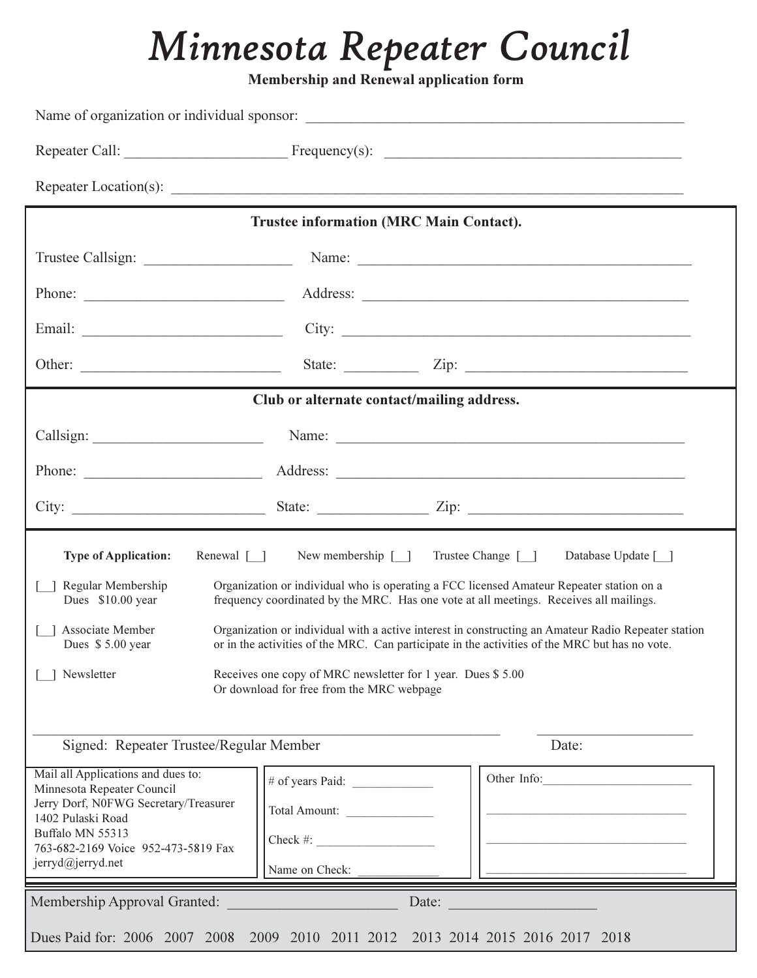# *Minnesota Repeater Council*

**Membership and Renewal application form** 

|                                                                                                                                                                                                                | <b>Trustee information (MRC Main Contact).</b>                                                                                                   |                                                                                                                                                                                                                                                                                                                                                                                                                                          |  |  |
|----------------------------------------------------------------------------------------------------------------------------------------------------------------------------------------------------------------|--------------------------------------------------------------------------------------------------------------------------------------------------|------------------------------------------------------------------------------------------------------------------------------------------------------------------------------------------------------------------------------------------------------------------------------------------------------------------------------------------------------------------------------------------------------------------------------------------|--|--|
|                                                                                                                                                                                                                |                                                                                                                                                  |                                                                                                                                                                                                                                                                                                                                                                                                                                          |  |  |
|                                                                                                                                                                                                                |                                                                                                                                                  |                                                                                                                                                                                                                                                                                                                                                                                                                                          |  |  |
|                                                                                                                                                                                                                |                                                                                                                                                  | City:                                                                                                                                                                                                                                                                                                                                                                                                                                    |  |  |
|                                                                                                                                                                                                                |                                                                                                                                                  | State: $\angle$ Zip: $\angle$                                                                                                                                                                                                                                                                                                                                                                                                            |  |  |
|                                                                                                                                                                                                                | Club or alternate contact/mailing address.                                                                                                       |                                                                                                                                                                                                                                                                                                                                                                                                                                          |  |  |
|                                                                                                                                                                                                                |                                                                                                                                                  |                                                                                                                                                                                                                                                                                                                                                                                                                                          |  |  |
|                                                                                                                                                                                                                |                                                                                                                                                  |                                                                                                                                                                                                                                                                                                                                                                                                                                          |  |  |
|                                                                                                                                                                                                                |                                                                                                                                                  |                                                                                                                                                                                                                                                                                                                                                                                                                                          |  |  |
|                                                                                                                                                                                                                |                                                                                                                                                  |                                                                                                                                                                                                                                                                                                                                                                                                                                          |  |  |
| Renewal $\lceil \rceil$<br><b>Type of Application:</b><br>Regular Membership<br>Dues \$10.00 year<br>Associate Member<br>Dues \$5.00 year<br>Newsletter                                                        | New membership $\lceil \quad \rceil$<br>Receives one copy of MRC newsletter for 1 year. Dues \$5.00<br>Or download for free from the MRC webpage | Trustee Change [ ]<br>Database Update [ ]<br>Organization or individual who is operating a FCC licensed Amateur Repeater station on a<br>frequency coordinated by the MRC. Has one vote at all meetings. Receives all mailings.<br>Organization or individual with a active interest in constructing an Amateur Radio Repeater station<br>or in the activities of the MRC. Can participate in the activities of the MRC but has no vote. |  |  |
| Signed: Repeater Trustee/Regular Member                                                                                                                                                                        |                                                                                                                                                  | Date:                                                                                                                                                                                                                                                                                                                                                                                                                                    |  |  |
| Mail all Applications and dues to:<br>Minnesota Repeater Council<br>Jerry Dorf, N0FWG Secretary/Treasurer<br>1402 Pulaski Road<br>Buffalo MN 55313<br>763-682-2169 Voice 952-473-5819 Fax<br>jerryd@jerryd.net | Total Amount:<br>$Check \#:$<br>Name on Check:                                                                                                   | Other Info:                                                                                                                                                                                                                                                                                                                                                                                                                              |  |  |